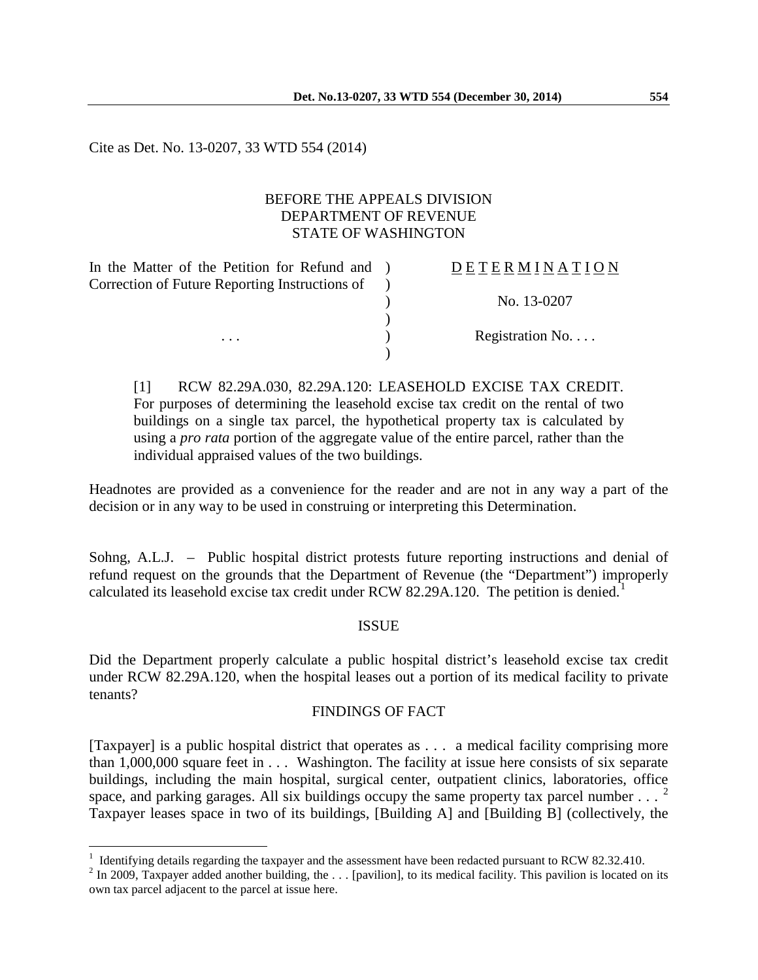Cite as Det. No. 13-0207, 33 WTD 554 (2014)

 $\overline{a}$ 

## BEFORE THE APPEALS DIVISION DEPARTMENT OF REVENUE STATE OF WASHINGTON

| In the Matter of the Petition for Refund and ) | <b>DETERMINATION</b> |
|------------------------------------------------|----------------------|
|                                                |                      |
|                                                | No. 13-0207          |
|                                                |                      |
|                                                | Registration No      |
|                                                |                      |
|                                                |                      |

[1] RCW 82.29A.030, 82.29A.120: LEASEHOLD EXCISE TAX CREDIT. For purposes of determining the leasehold excise tax credit on the rental of two buildings on a single tax parcel, the hypothetical property tax is calculated by using a *pro rata* portion of the aggregate value of the entire parcel, rather than the individual appraised values of the two buildings.

Headnotes are provided as a convenience for the reader and are not in any way a part of the decision or in any way to be used in construing or interpreting this Determination.

Sohng, A.L.J. – Public hospital district protests future reporting instructions and denial of refund request on the grounds that the Department of Revenue (the "Department") improperly calculated its leasehold excise tax credit under RCW 82.29A.[1](#page-0-0)20. The petition is denied.<sup>1</sup>

## ISSUE

Did the Department properly calculate a public hospital district's leasehold excise tax credit under RCW 82.29A.120, when the hospital leases out a portion of its medical facility to private tenants?

## FINDINGS OF FACT

[Taxpayer] is a public hospital district that operates as . . . a medical facility comprising more than 1,000,000 square feet in . . . Washington. The facility at issue here consists of six separate buildings, including the main hospital, surgical center, outpatient clinics, laboratories, office space, and parking garages. All six buildings occupy the same property tax parcel number  $\ldots$ . Taxpayer leases space in two of its buildings, [Building A] and [Building B] (collectively, the

<span id="page-0-0"></span><sup>&</sup>lt;sup>1</sup> Identifying details regarding the taxpayer and the assessment have been redacted pursuant to RCW 82.32.410.<br><sup>2</sup> In 2009, Taxpayer added another building, the . . . [pavilion], to its medical facility. This pavilion is

<span id="page-0-1"></span>own tax parcel adjacent to the parcel at issue here.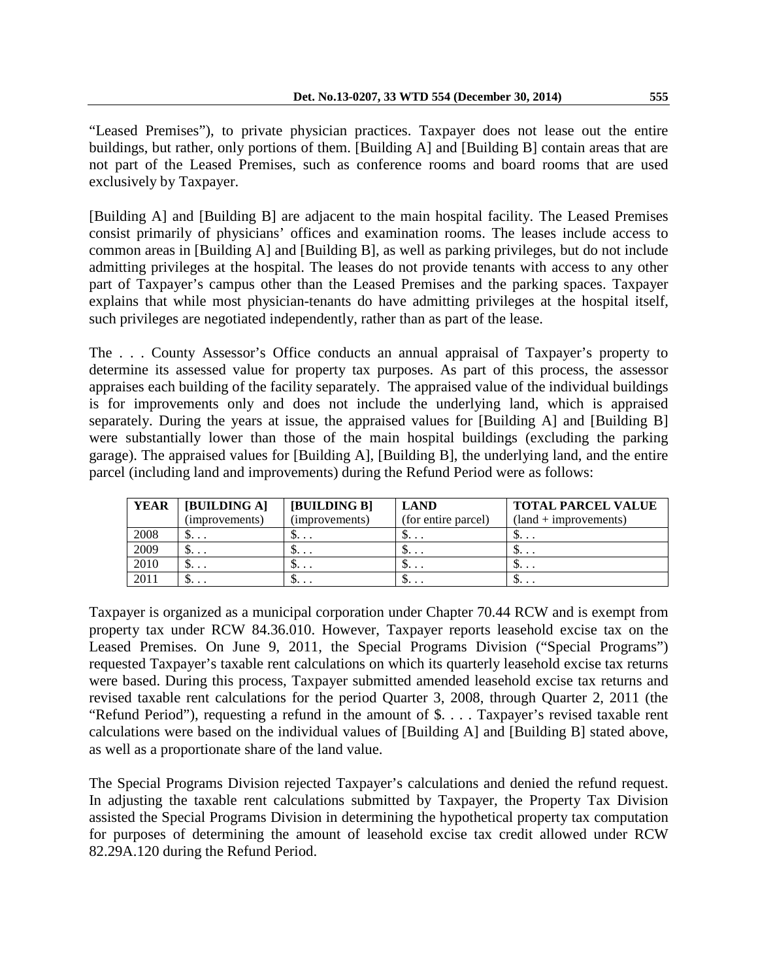"Leased Premises"), to private physician practices. Taxpayer does not lease out the entire buildings, but rather, only portions of them. [Building A] and [Building B] contain areas that are not part of the Leased Premises, such as conference rooms and board rooms that are used exclusively by Taxpayer.

[Building A] and [Building B] are adjacent to the main hospital facility. The Leased Premises consist primarily of physicians' offices and examination rooms. The leases include access to common areas in [Building A] and [Building B], as well as parking privileges, but do not include admitting privileges at the hospital. The leases do not provide tenants with access to any other part of Taxpayer's campus other than the Leased Premises and the parking spaces. Taxpayer explains that while most physician-tenants do have admitting privileges at the hospital itself, such privileges are negotiated independently, rather than as part of the lease.

The . . . County Assessor's Office conducts an annual appraisal of Taxpayer's property to determine its assessed value for property tax purposes. As part of this process, the assessor appraises each building of the facility separately. The appraised value of the individual buildings is for improvements only and does not include the underlying land, which is appraised separately. During the years at issue, the appraised values for [Building A] and [Building B] were substantially lower than those of the main hospital buildings (excluding the parking garage). The appraised values for [Building A], [Building B], the underlying land, and the entire parcel (including land and improvements) during the Refund Period were as follows:

| YEAR | <b>IBUILDING AT</b> | <b>IBUILDING B1</b> | <b>LAND</b>         | <b>TOTAL PARCEL VALUE</b> |
|------|---------------------|---------------------|---------------------|---------------------------|
|      | (improvements)      | (improvements)      | (for entire parcel) | $(land + improvers)$      |
| 2008 | ւ                   | ւ                   | $\mathcal{D}$       | .                         |
| 2009 |                     | ւ                   | $\mathcal{D}$       | ւ                         |
| 2010 |                     | ւ                   | υ                   | ւ                         |
| 2011 | Փ                   | Փ                   | υ                   | .                         |

Taxpayer is organized as a municipal corporation under Chapter 70.44 RCW and is exempt from property tax under RCW 84.36.010. However, Taxpayer reports leasehold excise tax on the Leased Premises. On June 9, 2011, the Special Programs Division ("Special Programs") requested Taxpayer's taxable rent calculations on which its quarterly leasehold excise tax returns were based. During this process, Taxpayer submitted amended leasehold excise tax returns and revised taxable rent calculations for the period Quarter 3, 2008, through Quarter 2, 2011 (the "Refund Period"), requesting a refund in the amount of \$. . . . Taxpayer's revised taxable rent calculations were based on the individual values of [Building A] and [Building B] stated above, as well as a proportionate share of the land value.

The Special Programs Division rejected Taxpayer's calculations and denied the refund request. In adjusting the taxable rent calculations submitted by Taxpayer, the Property Tax Division assisted the Special Programs Division in determining the hypothetical property tax computation for purposes of determining the amount of leasehold excise tax credit allowed under RCW 82.29A.120 during the Refund Period.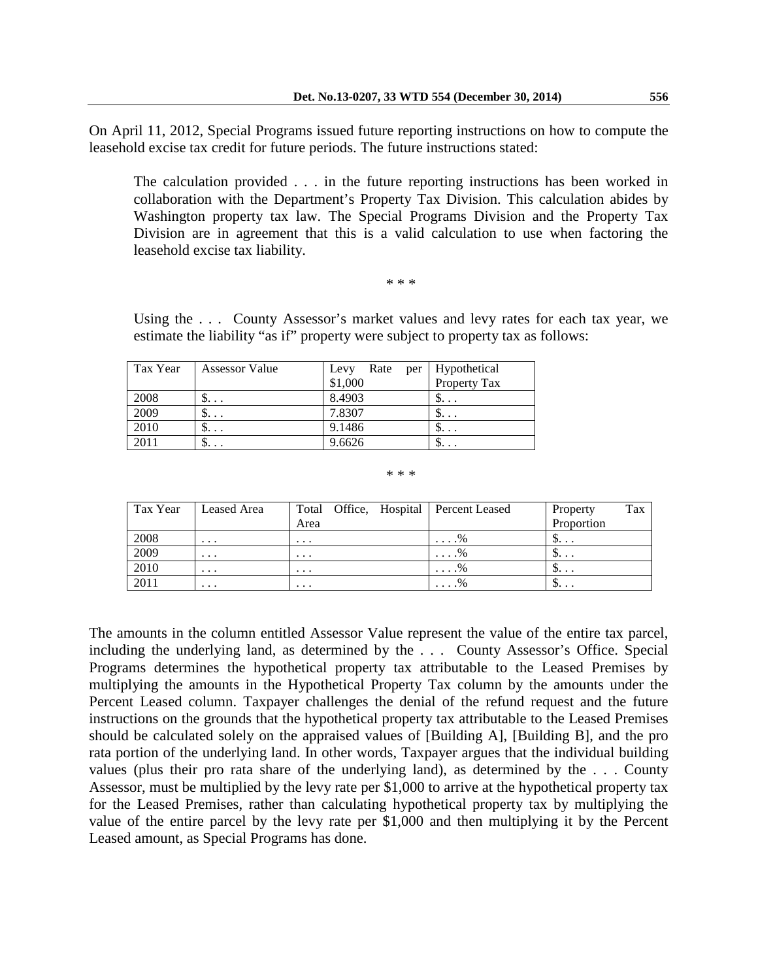On April 11, 2012, Special Programs issued future reporting instructions on how to compute the leasehold excise tax credit for future periods. The future instructions stated:

The calculation provided . . . in the future reporting instructions has been worked in collaboration with the Department's Property Tax Division. This calculation abides by Washington property tax law. The Special Programs Division and the Property Tax Division are in agreement that this is a valid calculation to use when factoring the leasehold excise tax liability.

\* \* \*

Using the . . . County Assessor's market values and levy rates for each tax year, we estimate the liability "as if" property were subject to property tax as follows:

| Tax Year | <b>Assessor Value</b> | Rate<br>Levy | per   Hypothetical |
|----------|-----------------------|--------------|--------------------|
|          |                       | \$1,000      | Property Tax       |
| 2008     | ۰                     | 8.4903       |                    |
| 2009     | $\mathfrak{D}$        | 7.8307       | $\mathfrak{D}$     |
| 2010     | $\mathfrak{D}$        | 9.1486       | $\mathfrak{D}$     |
| 2011     | Φ                     | 9.6626       | Փ                  |

\* \* \*

| Tax Year | Leased Area |          | Total Office, Hospital Percent Leased | Property       | Tax |
|----------|-------------|----------|---------------------------------------|----------------|-----|
|          |             | Area     |                                       | Proportion     |     |
| 2008     | $\cdots$    | $\cdots$ | $\ldots$ %                            | $\mathfrak{D}$ |     |
| 2009     | $\cdots$    | $\cdots$ | $\ldots$ %                            | $\mathcal{D}$  |     |
| 2010     | $\cdots$    | $\cdots$ | $\ldots$ %                            | $\mathcal{P}$  |     |
| 2011     | $\cdots$    | $\cdots$ | $\ldots$ %                            | $\mathcal{D}$  |     |

The amounts in the column entitled Assessor Value represent the value of the entire tax parcel, including the underlying land, as determined by the . . . County Assessor's Office. Special Programs determines the hypothetical property tax attributable to the Leased Premises by multiplying the amounts in the Hypothetical Property Tax column by the amounts under the Percent Leased column. Taxpayer challenges the denial of the refund request and the future instructions on the grounds that the hypothetical property tax attributable to the Leased Premises should be calculated solely on the appraised values of [Building A], [Building B], and the pro rata portion of the underlying land. In other words, Taxpayer argues that the individual building values (plus their pro rata share of the underlying land), as determined by the . . . County Assessor, must be multiplied by the levy rate per \$1,000 to arrive at the hypothetical property tax for the Leased Premises, rather than calculating hypothetical property tax by multiplying the value of the entire parcel by the levy rate per \$1,000 and then multiplying it by the Percent Leased amount, as Special Programs has done.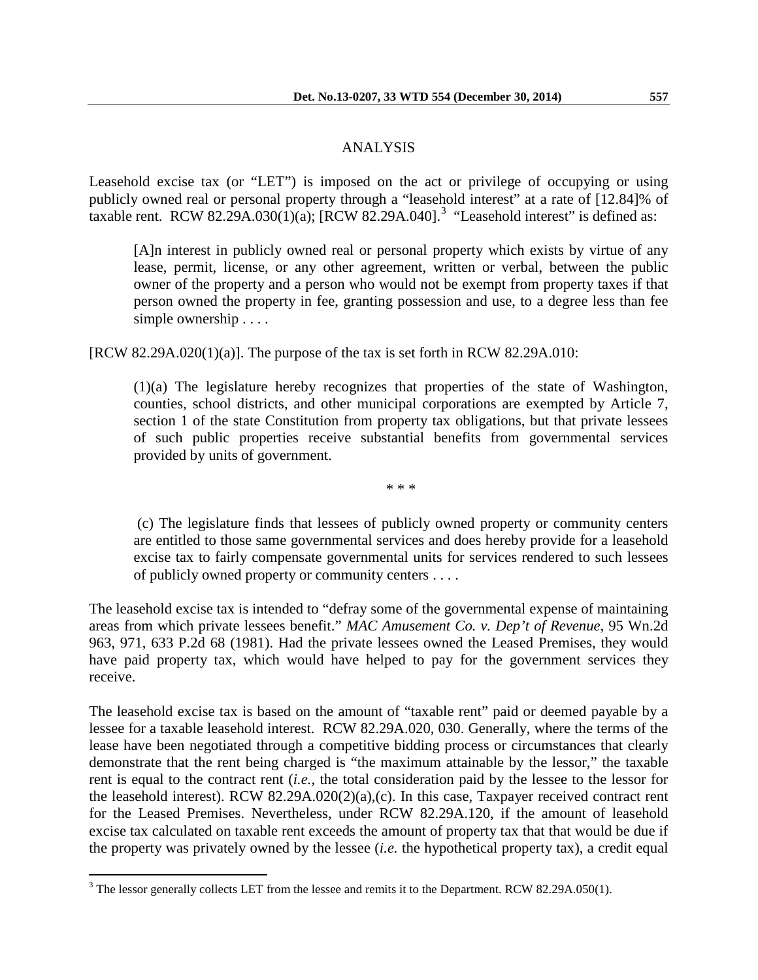#### ANALYSIS

Leasehold excise tax (or "LET") is imposed on the act or privilege of occupying or using publicly owned real or personal property through a "leasehold interest" at a rate of [12.84]% of taxable rent. RCW 82.29A.0[3](#page-3-0)0 $(1)(a)$ ; [RCW 82.29A.040].<sup>3</sup> "Leasehold interest" is defined as:

[A]n interest in publicly owned real or personal property which exists by virtue of any lease, permit, license, or any other agreement, written or verbal, between the public owner of the property and a person who would not be exempt from property taxes if that person owned the property in fee, granting possession and use, to a degree less than fee simple ownership . . . .

 $[RCW 82.29A.020(1)(a)]$ . The purpose of the tax is set forth in RCW 82.29A.010:

(1)(a) The legislature hereby recognizes that properties of the state of Washington, counties, school districts, and other municipal corporations are exempted by Article 7, section 1 of the state Constitution from property tax obligations, but that private lessees of such public properties receive substantial benefits from governmental services provided by units of government.

\* \* \*

(c) The legislature finds that lessees of publicly owned property or community centers are entitled to those same governmental services and does hereby provide for a leasehold excise tax to fairly compensate governmental units for services rendered to such lessees of publicly owned property or community centers . . . .

The leasehold excise tax is intended to "defray some of the governmental expense of maintaining areas from which private lessees benefit." *MAC Amusement Co. v. Dep't of Revenue,* 95 Wn.2d 963, 971, 633 P.2d 68 (1981). Had the private lessees owned the Leased Premises, they would have paid property tax, which would have helped to pay for the government services they receive.

The leasehold excise tax is based on the amount of "taxable rent" paid or deemed payable by a lessee for a taxable leasehold interest. RCW 82.29A.020, 030. Generally, where the terms of the lease have been negotiated through a competitive bidding process or circumstances that clearly demonstrate that the rent being charged is "the maximum attainable by the lessor," the taxable rent is equal to the contract rent (*i.e.,* the total consideration paid by the lessee to the lessor for the leasehold interest). RCW 82.29A.020(2)(a),(c). In this case, Taxpayer received contract rent for the Leased Premises. Nevertheless, under RCW 82.29A.120, if the amount of leasehold excise tax calculated on taxable rent exceeds the amount of property tax that that would be due if the property was privately owned by the lessee (*i.e.* the hypothetical property tax), a credit equal

<span id="page-3-0"></span> $3$  The lessor generally collects LET from the lessee and remits it to the Department. RCW 82.29A.050(1).  $\overline{a}$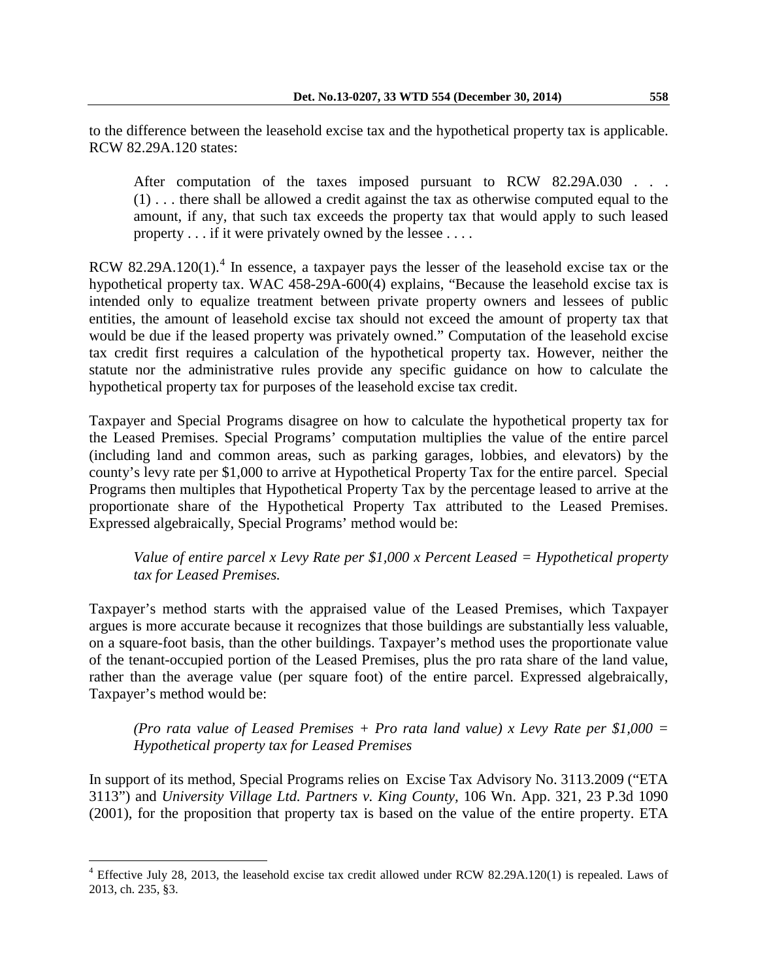to the difference between the leasehold excise tax and the hypothetical property tax is applicable. RCW 82.29A.120 states:

After computation of the taxes imposed pursuant to RCW 82.29A.030 . . . (1) . . . there shall be allowed a credit against the tax as otherwise computed equal to the amount, if any, that such tax exceeds the property tax that would apply to such leased property . . . if it were privately owned by the lessee . . . .

RCW 82.29A.120(1).<sup>[4](#page-4-0)</sup> In essence, a taxpayer pays the lesser of the leasehold excise tax or the hypothetical property tax. WAC 458-29A-600(4) explains, "Because the leasehold excise tax is intended only to equalize treatment between private property owners and lessees of public entities, the amount of leasehold excise tax should not exceed the amount of property tax that would be due if the leased property was privately owned." Computation of the leasehold excise tax credit first requires a calculation of the hypothetical property tax. However, neither the statute nor the administrative rules provide any specific guidance on how to calculate the hypothetical property tax for purposes of the leasehold excise tax credit.

Taxpayer and Special Programs disagree on how to calculate the hypothetical property tax for the Leased Premises. Special Programs' computation multiplies the value of the entire parcel (including land and common areas, such as parking garages, lobbies, and elevators) by the county's levy rate per \$1,000 to arrive at Hypothetical Property Tax for the entire parcel. Special Programs then multiples that Hypothetical Property Tax by the percentage leased to arrive at the proportionate share of the Hypothetical Property Tax attributed to the Leased Premises. Expressed algebraically, Special Programs' method would be:

*Value of entire parcel x Levy Rate per \$1,000 x Percent Leased = Hypothetical property tax for Leased Premises.*

Taxpayer's method starts with the appraised value of the Leased Premises, which Taxpayer argues is more accurate because it recognizes that those buildings are substantially less valuable, on a square-foot basis, than the other buildings. Taxpayer's method uses the proportionate value of the tenant-occupied portion of the Leased Premises, plus the pro rata share of the land value, rather than the average value (per square foot) of the entire parcel. Expressed algebraically, Taxpayer's method would be:

*(Pro rata value of Leased Premises + Pro rata land value) x Levy Rate per \$1,000 = Hypothetical property tax for Leased Premises* 

In support of its method, Special Programs relies on Excise Tax Advisory No. 3113.2009 ("ETA 3113") and *University Village Ltd. Partners v. King County,* 106 Wn. App. 321, 23 P.3d 1090 (2001), for the proposition that property tax is based on the value of the entire property. ETA

 $\overline{a}$ 

<span id="page-4-0"></span> $4$  Effective July 28, 2013, the leasehold excise tax credit allowed under RCW 82.29A.120(1) is repealed. Laws of 2013, ch. 235, §3.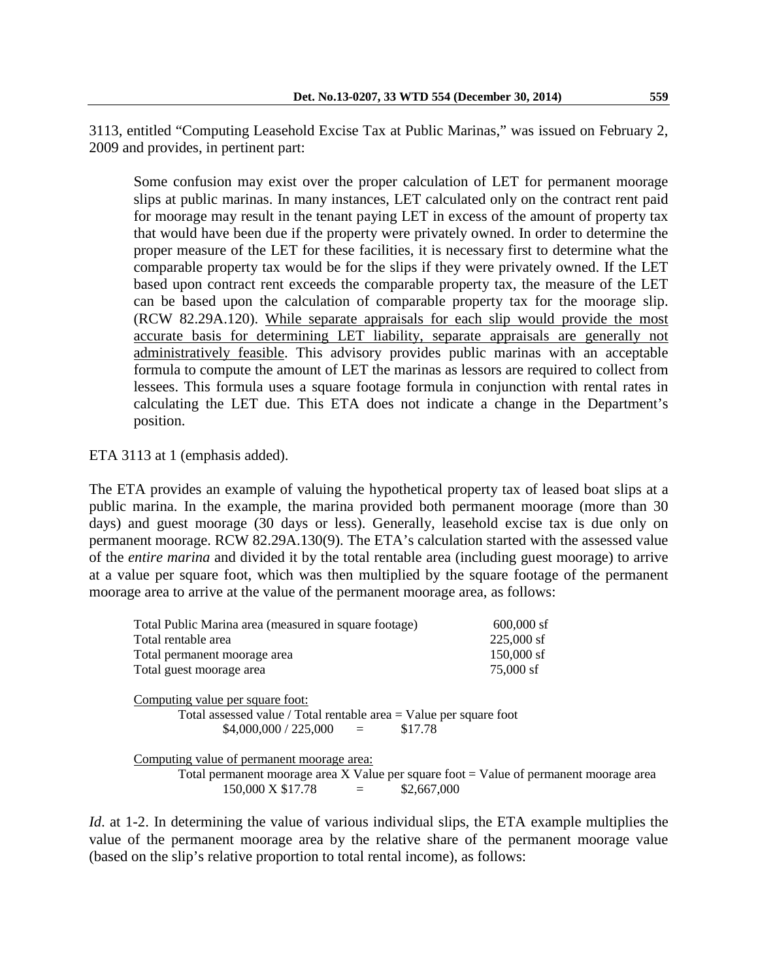Some confusion may exist over the proper calculation of LET for permanent moorage slips at public marinas. In many instances, LET calculated only on the contract rent paid for moorage may result in the tenant paying LET in excess of the amount of property tax that would have been due if the property were privately owned. In order to determine the proper measure of the LET for these facilities, it is necessary first to determine what the comparable property tax would be for the slips if they were privately owned. If the LET based upon contract rent exceeds the comparable property tax, the measure of the LET can be based upon the calculation of comparable property tax for the moorage slip. (RCW 82.29A.120). While separate appraisals for each slip would provide the most accurate basis for determining LET liability, separate appraisals are generally not administratively feasible. This advisory provides public marinas with an acceptable formula to compute the amount of LET the marinas as lessors are required to collect from lessees. This formula uses a square footage formula in conjunction with rental rates in calculating the LET due. This ETA does not indicate a change in the Department's position.

ETA 3113 at 1 (emphasis added).

The ETA provides an example of valuing the hypothetical property tax of leased boat slips at a public marina. In the example, the marina provided both permanent moorage (more than 30 days) and guest moorage (30 days or less). Generally, leasehold excise tax is due only on permanent moorage. RCW 82.29A.130(9). The ETA's calculation started with the assessed value of the *entire marina* and divided it by the total rentable area (including guest moorage) to arrive at a value per square foot, which was then multiplied by the square footage of the permanent moorage area to arrive at the value of the permanent moorage area, as follows:

| Total Public Marina area (measured in square footage)                                                                                           | $600,000$ sf |  |
|-------------------------------------------------------------------------------------------------------------------------------------------------|--------------|--|
| Total rentable area                                                                                                                             | $225,000$ sf |  |
| Total permanent moorage area                                                                                                                    | 150,000 sf   |  |
| Total guest moorage area                                                                                                                        | 75,000 sf    |  |
| Computing value per square foot:<br>Total assessed value / Total rentable area $=$ Value per square foot<br>$$4,000,000 / 225,000 =$<br>\$17.78 |              |  |
| Computing value of permanent moorage area:                                                                                                      |              |  |

Total permanent moorage area  $X$  Value per square foot  $=$  Value of permanent moorage area  $150,000 \text{ X } $17.78 = $2,667,000$ 

*Id.* at 1-2. In determining the value of various individual slips, the ETA example multiplies the value of the permanent moorage area by the relative share of the permanent moorage value (based on the slip's relative proportion to total rental income), as follows: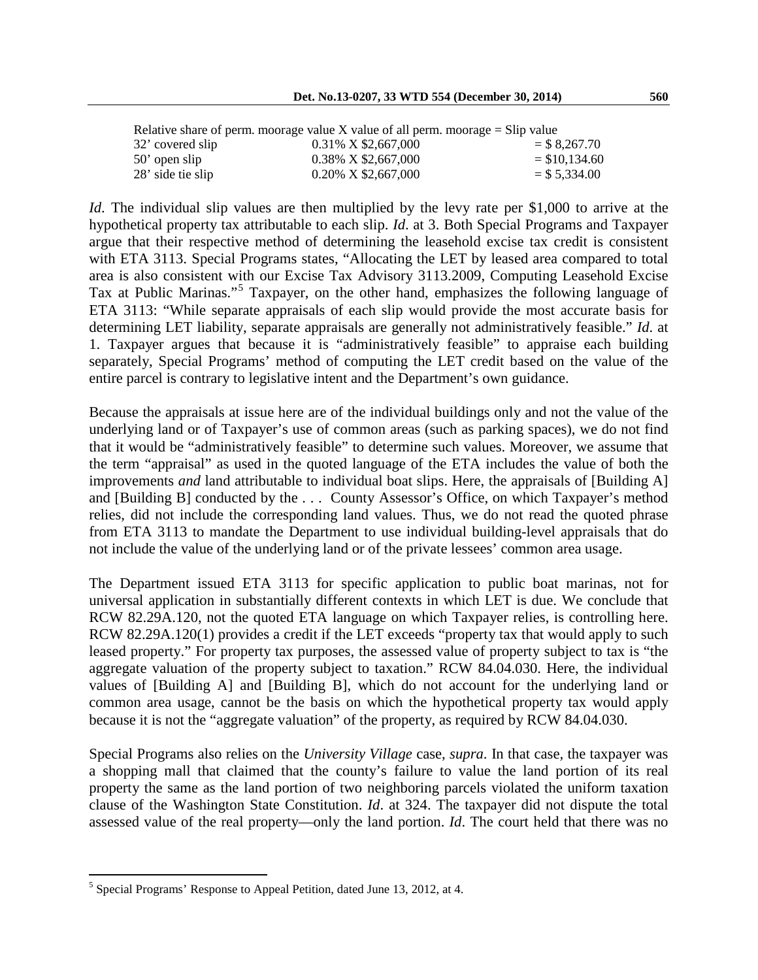| Relative share of perm. moorage value $X$ value of all perm. moorage $=$ Slip value |                        |                 |  |  |
|-------------------------------------------------------------------------------------|------------------------|-----------------|--|--|
| 32' covered slip                                                                    | 0.31% X \$2,667,000    | $=$ \$ 8,267.70 |  |  |
| $50'$ open slip                                                                     | 0.38% X \$2,667,000    | $=$ \$10,134.60 |  |  |
| 28' side tie slip                                                                   | $0.20\%$ X \$2,667,000 | $=$ \$ 5,334.00 |  |  |

*Id*. The individual slip values are then multiplied by the levy rate per \$1,000 to arrive at the hypothetical property tax attributable to each slip. *Id*. at 3. Both Special Programs and Taxpayer argue that their respective method of determining the leasehold excise tax credit is consistent with ETA 3113. Special Programs states, "Allocating the LET by leased area compared to total area is also consistent with our Excise Tax Advisory 3113.2009, Computing Leasehold Excise Tax at Public Marinas."[5](#page-6-0) Taxpayer, on the other hand, emphasizes the following language of ETA 3113: "While separate appraisals of each slip would provide the most accurate basis for determining LET liability, separate appraisals are generally not administratively feasible." *Id*. at 1. Taxpayer argues that because it is "administratively feasible" to appraise each building separately, Special Programs' method of computing the LET credit based on the value of the entire parcel is contrary to legislative intent and the Department's own guidance.

Because the appraisals at issue here are of the individual buildings only and not the value of the underlying land or of Taxpayer's use of common areas (such as parking spaces), we do not find that it would be "administratively feasible" to determine such values. Moreover, we assume that the term "appraisal" as used in the quoted language of the ETA includes the value of both the improvements *and* land attributable to individual boat slips. Here, the appraisals of [Building A] and [Building B] conducted by the . . . County Assessor's Office, on which Taxpayer's method relies, did not include the corresponding land values. Thus, we do not read the quoted phrase from ETA 3113 to mandate the Department to use individual building-level appraisals that do not include the value of the underlying land or of the private lessees' common area usage.

The Department issued ETA 3113 for specific application to public boat marinas, not for universal application in substantially different contexts in which LET is due. We conclude that RCW 82.29A.120, not the quoted ETA language on which Taxpayer relies, is controlling here. RCW 82.29A.120(1) provides a credit if the LET exceeds "property tax that would apply to such leased property." For property tax purposes, the assessed value of property subject to tax is "the aggregate valuation of the property subject to taxation." RCW 84.04.030. Here, the individual values of [Building A] and [Building B], which do not account for the underlying land or common area usage, cannot be the basis on which the hypothetical property tax would apply because it is not the "aggregate valuation" of the property, as required by RCW 84.04.030.

Special Programs also relies on the *University Village* case, *supra*. In that case*,* the taxpayer was a shopping mall that claimed that the county's failure to value the land portion of its real property the same as the land portion of two neighboring parcels violated the uniform taxation clause of the Washington State Constitution. *Id*. at 324. The taxpayer did not dispute the total assessed value of the real property—only the land portion. *Id*. The court held that there was no

 $\overline{a}$ 

<span id="page-6-0"></span> $5$  Special Programs' Response to Appeal Petition, dated June 13, 2012, at 4.